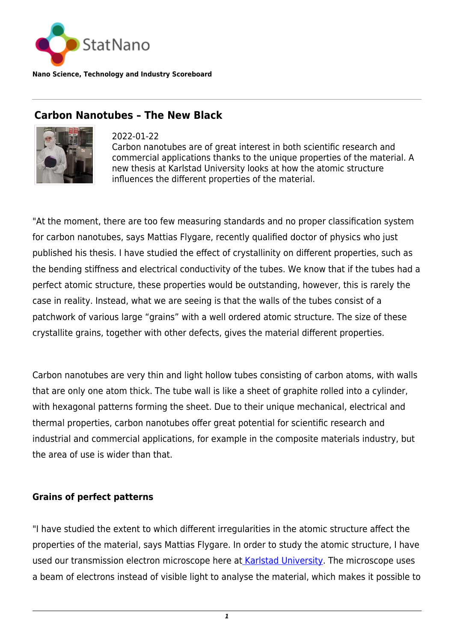

**Nano Science, Technology and Industry Scoreboard**

## **Carbon Nanotubes – The New Black**



2022-01-22 Carbon nanotubes are of great interest in both scientific research and commercial applications thanks to the unique properties of the material. A new thesis at Karlstad University looks at how the atomic structure influences the different properties of the material.

"At the moment, there are too few measuring standards and no proper classification system for carbon nanotubes, says Mattias Flygare, recently qualified doctor of physics who just published his thesis. I have studied the effect of crystallinity on different properties, such as the bending stiffness and electrical conductivity of the tubes. We know that if the tubes had a perfect atomic structure, these properties would be outstanding, however, this is rarely the case in reality. Instead, what we are seeing is that the walls of the tubes consist of a patchwork of various large "grains" with a well ordered atomic structure. The size of these crystallite grains, together with other defects, gives the material different properties.

Carbon nanotubes are very thin and light hollow tubes consisting of carbon atoms, with walls that are only one atom thick. The tube wall is like a sheet of graphite rolled into a cylinder, with hexagonal patterns forming the sheet. Due to their unique mechanical, electrical and thermal properties, carbon nanotubes offer great potential for scientific research and industrial and commercial applications, for example in the composite materials industry, but the area of use is wider than that.

## **Grains of perfect patterns**

"I have studied the extent to which different irregularities in the atomic structure affect the properties of the material, says Mattias Flygare. In order to study the atomic structure, I have used our transmission electron microscope here at [Karlstad University.](https://www.kau.se/en) The microscope uses a beam of electrons instead of visible light to analyse the material, which makes it possible to